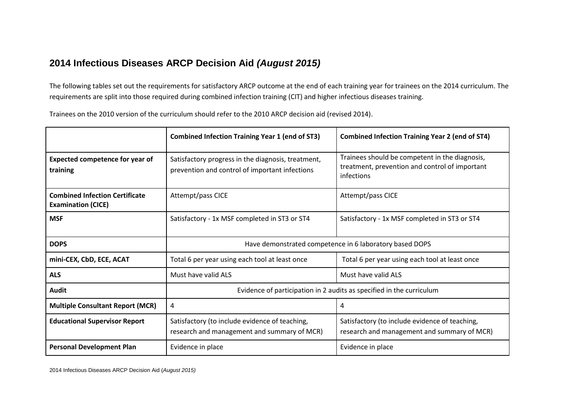## **2014 Infectious Diseases ARCP Decision Aid** *(August 2015)*

The following tables set out the requirements for satisfactory ARCP outcome at the end of each training year for trainees on the 2014 curriculum. The requirements are split into those required during combined infection training (CIT) and higher infectious diseases training.

Trainees on the 2010 version of the curriculum should refer to the 2010 ARCP decision aid (revised 2014).

|                                                                    | <b>Combined Infection Training Year 1 (end of ST3)</b>                                               | <b>Combined Infection Training Year 2 (end of ST4)</b>                                                         |
|--------------------------------------------------------------------|------------------------------------------------------------------------------------------------------|----------------------------------------------------------------------------------------------------------------|
| <b>Expected competence for year of</b><br>training                 | Satisfactory progress in the diagnosis, treatment,<br>prevention and control of important infections | Trainees should be competent in the diagnosis,<br>treatment, prevention and control of important<br>infections |
| <b>Combined Infection Certificate</b><br><b>Examination (CICE)</b> | Attempt/pass CICE                                                                                    | Attempt/pass CICE                                                                                              |
| <b>MSF</b>                                                         | Satisfactory - 1x MSF completed in ST3 or ST4                                                        | Satisfactory - 1x MSF completed in ST3 or ST4                                                                  |
| <b>DOPS</b>                                                        | Have demonstrated competence in 6 laboratory based DOPS                                              |                                                                                                                |
| mini-CEX, CbD, ECE, ACAT                                           | Total 6 per year using each tool at least once                                                       | Total 6 per year using each tool at least once                                                                 |
| <b>ALS</b>                                                         | Must have valid ALS                                                                                  | Must have valid ALS                                                                                            |
| <b>Audit</b>                                                       | Evidence of participation in 2 audits as specified in the curriculum                                 |                                                                                                                |
| <b>Multiple Consultant Report (MCR)</b>                            | 4                                                                                                    | 4                                                                                                              |
| <b>Educational Supervisor Report</b>                               | Satisfactory (to include evidence of teaching,<br>research and management and summary of MCR)        | Satisfactory (to include evidence of teaching,<br>research and management and summary of MCR)                  |
| <b>Personal Development Plan</b>                                   | Evidence in place                                                                                    | Evidence in place                                                                                              |

2014 Infectious Diseases ARCP Decision Aid (*August 2015)*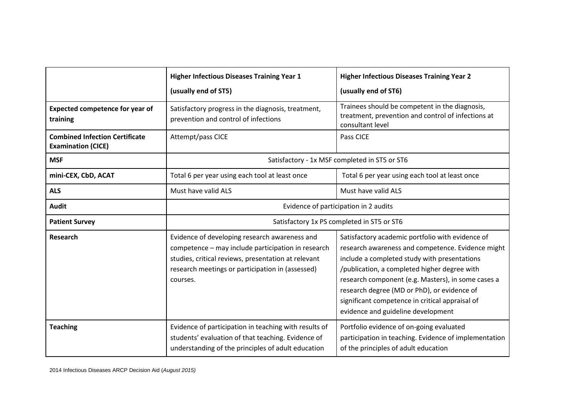|                                                                    | <b>Higher Infectious Diseases Training Year 1</b><br>(usually end of ST5)                                                                                                                                                  | <b>Higher Infectious Diseases Training Year 2</b><br>(usually end of ST6)                                                                                                                                                                                                                                                                                                                           |
|--------------------------------------------------------------------|----------------------------------------------------------------------------------------------------------------------------------------------------------------------------------------------------------------------------|-----------------------------------------------------------------------------------------------------------------------------------------------------------------------------------------------------------------------------------------------------------------------------------------------------------------------------------------------------------------------------------------------------|
| <b>Expected competence for year of</b><br>training                 | Satisfactory progress in the diagnosis, treatment,<br>prevention and control of infections                                                                                                                                 | Trainees should be competent in the diagnosis,<br>treatment, prevention and control of infections at<br>consultant level                                                                                                                                                                                                                                                                            |
| <b>Combined Infection Certificate</b><br><b>Examination (CICE)</b> | Attempt/pass CICE                                                                                                                                                                                                          | Pass CICE                                                                                                                                                                                                                                                                                                                                                                                           |
| <b>MSF</b>                                                         | Satisfactory - 1x MSF completed in ST5 or ST6                                                                                                                                                                              |                                                                                                                                                                                                                                                                                                                                                                                                     |
| mini-CEX, CbD, ACAT                                                | Total 6 per year using each tool at least once                                                                                                                                                                             | Total 6 per year using each tool at least once                                                                                                                                                                                                                                                                                                                                                      |
| <b>ALS</b>                                                         | Must have valid ALS                                                                                                                                                                                                        | Must have valid ALS                                                                                                                                                                                                                                                                                                                                                                                 |
| <b>Audit</b>                                                       | Evidence of participation in 2 audits                                                                                                                                                                                      |                                                                                                                                                                                                                                                                                                                                                                                                     |
| <b>Patient Survey</b>                                              | Satisfactory 1x PS completed in ST5 or ST6                                                                                                                                                                                 |                                                                                                                                                                                                                                                                                                                                                                                                     |
| <b>Research</b>                                                    | Evidence of developing research awareness and<br>competence - may include participation in research<br>studies, critical reviews, presentation at relevant<br>research meetings or participation in (assessed)<br>courses. | Satisfactory academic portfolio with evidence of<br>research awareness and competence. Evidence might<br>include a completed study with presentations<br>/publication, a completed higher degree with<br>research component (e.g. Masters), in some cases a<br>research degree (MD or PhD), or evidence of<br>significant competence in critical appraisal of<br>evidence and guideline development |
| <b>Teaching</b>                                                    | Evidence of participation in teaching with results of<br>students' evaluation of that teaching. Evidence of<br>understanding of the principles of adult education                                                          | Portfolio evidence of on-going evaluated<br>participation in teaching. Evidence of implementation<br>of the principles of adult education                                                                                                                                                                                                                                                           |